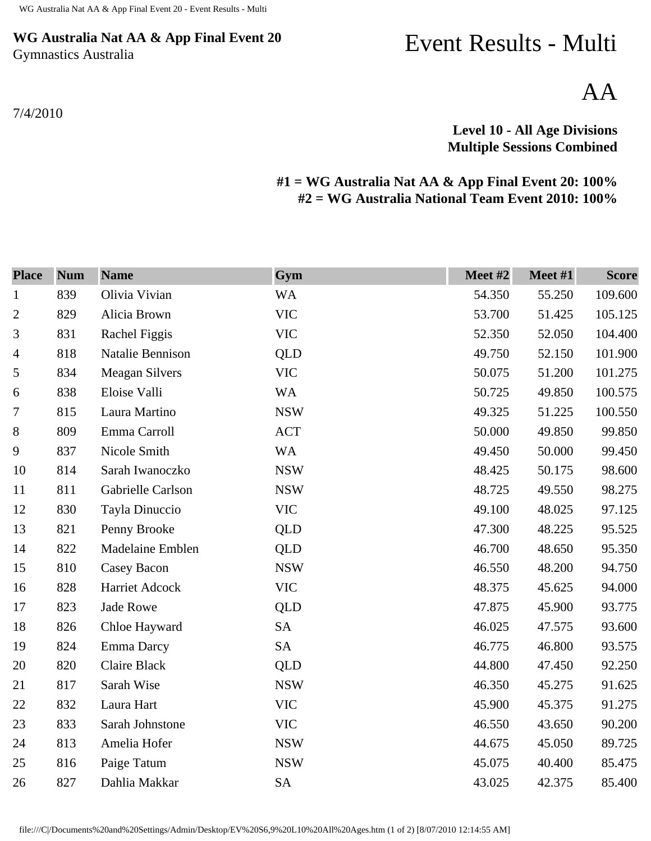## **WG Australia Nat AA & App Final Event 20** Gymnastics Australia

7/4/2010

## Event Results - Multi

AA

## **Level 10 - All Age Divisions Multiple Sessions Combined**

## **#1 = WG Australia Nat AA & App Final Event 20: 100% #2 = WG Australia National Team Event 2010: 100%**

| <b>Place</b>   | <b>Num</b> | <b>Name</b>         | Gym        | Meet #2 | Meet #1 | <b>Score</b> |
|----------------|------------|---------------------|------------|---------|---------|--------------|
| $\mathbf{1}$   | 839        | Olivia Vivian       | <b>WA</b>  | 54.350  | 55.250  | 109.600      |
| $\overline{2}$ | 829        | Alicia Brown        | <b>VIC</b> | 53.700  | 51.425  | 105.125      |
| 3              | 831        | Rachel Figgis       | <b>VIC</b> | 52.350  | 52.050  | 104.400      |
| 4              | 818        | Natalie Bennison    | QLD        | 49.750  | 52.150  | 101.900      |
| 5              | 834        | Meagan Silvers      | <b>VIC</b> | 50.075  | 51.200  | 101.275      |
| 6              | 838        | Eloise Valli        | <b>WA</b>  | 50.725  | 49.850  | 100.575      |
| 7              | 815        | Laura Martino       | <b>NSW</b> | 49.325  | 51.225  | 100.550      |
| $\, 8$         | 809        | Emma Carroll        | <b>ACT</b> | 50.000  | 49.850  | 99.850       |
| 9              | 837        | Nicole Smith        | <b>WA</b>  | 49.450  | 50.000  | 99.450       |
| 10             | 814        | Sarah Iwanoczko     | <b>NSW</b> | 48.425  | 50.175  | 98.600       |
| 11             | 811        | Gabrielle Carlson   | <b>NSW</b> | 48.725  | 49.550  | 98.275       |
| 12             | 830        | Tayla Dinuccio      | <b>VIC</b> | 49.100  | 48.025  | 97.125       |
| 13             | 821        | Penny Brooke        | <b>QLD</b> | 47.300  | 48.225  | 95.525       |
| 14             | 822        | Madelaine Emblen    | <b>QLD</b> | 46.700  | 48.650  | 95.350       |
| 15             | 810        | <b>Casey Bacon</b>  | <b>NSW</b> | 46.550  | 48.200  | 94.750       |
| 16             | 828        | Harriet Adcock      | <b>VIC</b> | 48.375  | 45.625  | 94.000       |
| 17             | 823        | <b>Jade Rowe</b>    | QLD        | 47.875  | 45.900  | 93.775       |
| 18             | 826        | Chloe Hayward       | <b>SA</b>  | 46.025  | 47.575  | 93.600       |
| 19             | 824        | Emma Darcy          | <b>SA</b>  | 46.775  | 46.800  | 93.575       |
| 20             | 820        | <b>Claire Black</b> | <b>QLD</b> | 44.800  | 47.450  | 92.250       |
| 21             | 817        | Sarah Wise          | <b>NSW</b> | 46.350  | 45.275  | 91.625       |
| 22             | 832        | Laura Hart          | <b>VIC</b> | 45.900  | 45.375  | 91.275       |
| 23             | 833        | Sarah Johnstone     | <b>VIC</b> | 46.550  | 43.650  | 90.200       |
| 24             | 813        | Amelia Hofer        | <b>NSW</b> | 44.675  | 45.050  | 89.725       |
| 25             | 816        | Paige Tatum         | <b>NSW</b> | 45.075  | 40.400  | 85.475       |
| 26             | 827        | Dahlia Makkar       | <b>SA</b>  | 43.025  | 42.375  | 85.400       |